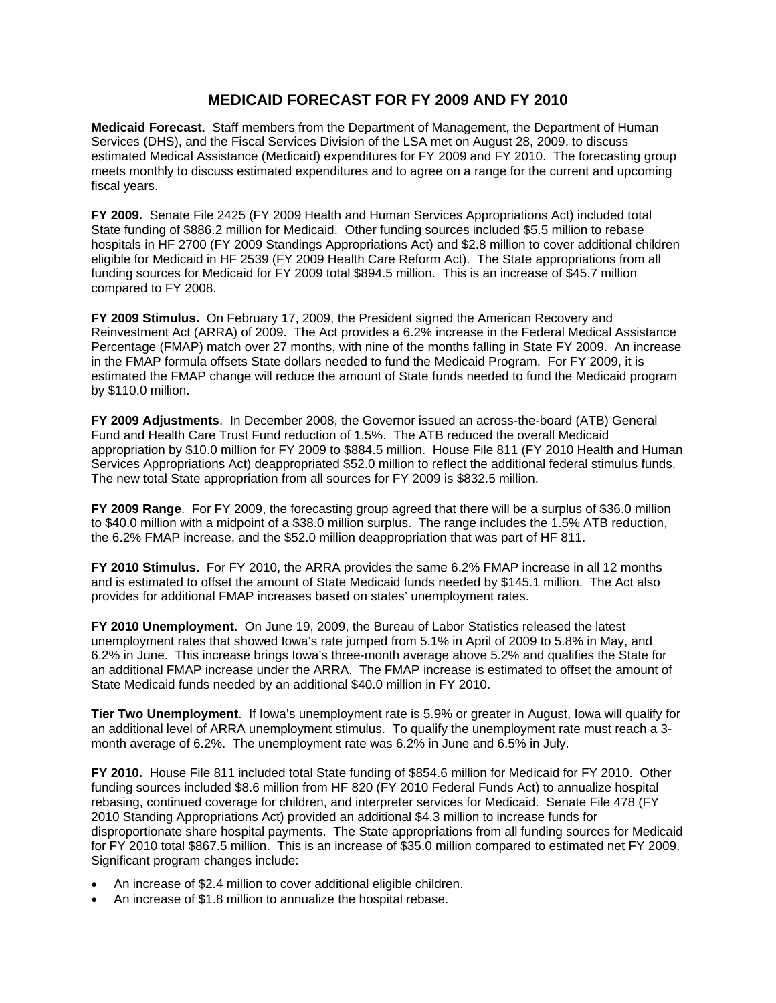## **MEDICAID FORECAST FOR FY 2009 AND FY 2010**

**Medicaid Forecast.** Staff members from the Department of Management, the Department of Human Services (DHS), and the Fiscal Services Division of the LSA met on August 28, 2009, to discuss estimated Medical Assistance (Medicaid) expenditures for FY 2009 and FY 2010. The forecasting group meets monthly to discuss estimated expenditures and to agree on a range for the current and upcoming fiscal years.

**FY 2009.** Senate File 2425 (FY 2009 Health and Human Services Appropriations Act) included total State funding of \$886.2 million for Medicaid. Other funding sources included \$5.5 million to rebase hospitals in HF 2700 (FY 2009 Standings Appropriations Act) and \$2.8 million to cover additional children eligible for Medicaid in HF 2539 (FY 2009 Health Care Reform Act). The State appropriations from all funding sources for Medicaid for FY 2009 total \$894.5 million. This is an increase of \$45.7 million compared to FY 2008.

**FY 2009 Stimulus.** On February 17, 2009, the President signed the American Recovery and Reinvestment Act (ARRA) of 2009. The Act provides a 6.2% increase in the Federal Medical Assistance Percentage (FMAP) match over 27 months, with nine of the months falling in State FY 2009. An increase in the FMAP formula offsets State dollars needed to fund the Medicaid Program. For FY 2009, it is estimated the FMAP change will reduce the amount of State funds needed to fund the Medicaid program by \$110.0 million.

**FY 2009 Adjustments**. In December 2008, the Governor issued an across-the-board (ATB) General Fund and Health Care Trust Fund reduction of 1.5%. The ATB reduced the overall Medicaid appropriation by \$10.0 million for FY 2009 to \$884.5 million. House File 811 (FY 2010 Health and Human Services Appropriations Act) deappropriated \$52.0 million to reflect the additional federal stimulus funds. The new total State appropriation from all sources for FY 2009 is \$832.5 million.

**FY 2009 Range**. For FY 2009, the forecasting group agreed that there will be a surplus of \$36.0 million to \$40.0 million with a midpoint of a \$38.0 million surplus. The range includes the 1.5% ATB reduction, the 6.2% FMAP increase, and the \$52.0 million deappropriation that was part of HF 811.

**FY 2010 Stimulus.** For FY 2010, the ARRA provides the same 6.2% FMAP increase in all 12 months and is estimated to offset the amount of State Medicaid funds needed by \$145.1 million. The Act also provides for additional FMAP increases based on states' unemployment rates.

**FY 2010 Unemployment.** On June 19, 2009, the Bureau of Labor Statistics released the latest unemployment rates that showed Iowa's rate jumped from 5.1% in April of 2009 to 5.8% in May, and 6.2% in June. This increase brings Iowa's three-month average above 5.2% and qualifies the State for an additional FMAP increase under the ARRA. The FMAP increase is estimated to offset the amount of State Medicaid funds needed by an additional \$40.0 million in FY 2010.

**Tier Two Unemployment**. If Iowa's unemployment rate is 5.9% or greater in August, Iowa will qualify for an additional level of ARRA unemployment stimulus. To qualify the unemployment rate must reach a 3 month average of 6.2%. The unemployment rate was 6.2% in June and 6.5% in July.

**FY 2010.** House File 811 included total State funding of \$854.6 million for Medicaid for FY 2010. Other funding sources included \$8.6 million from HF 820 (FY 2010 Federal Funds Act) to annualize hospital rebasing, continued coverage for children, and interpreter services for Medicaid. Senate File 478 (FY 2010 Standing Appropriations Act) provided an additional \$4.3 million to increase funds for disproportionate share hospital payments. The State appropriations from all funding sources for Medicaid for FY 2010 total \$867.5 million. This is an increase of \$35.0 million compared to estimated net FY 2009. Significant program changes include:

- An increase of \$2.4 million to cover additional eligible children.
- An increase of \$1.8 million to annualize the hospital rebase.